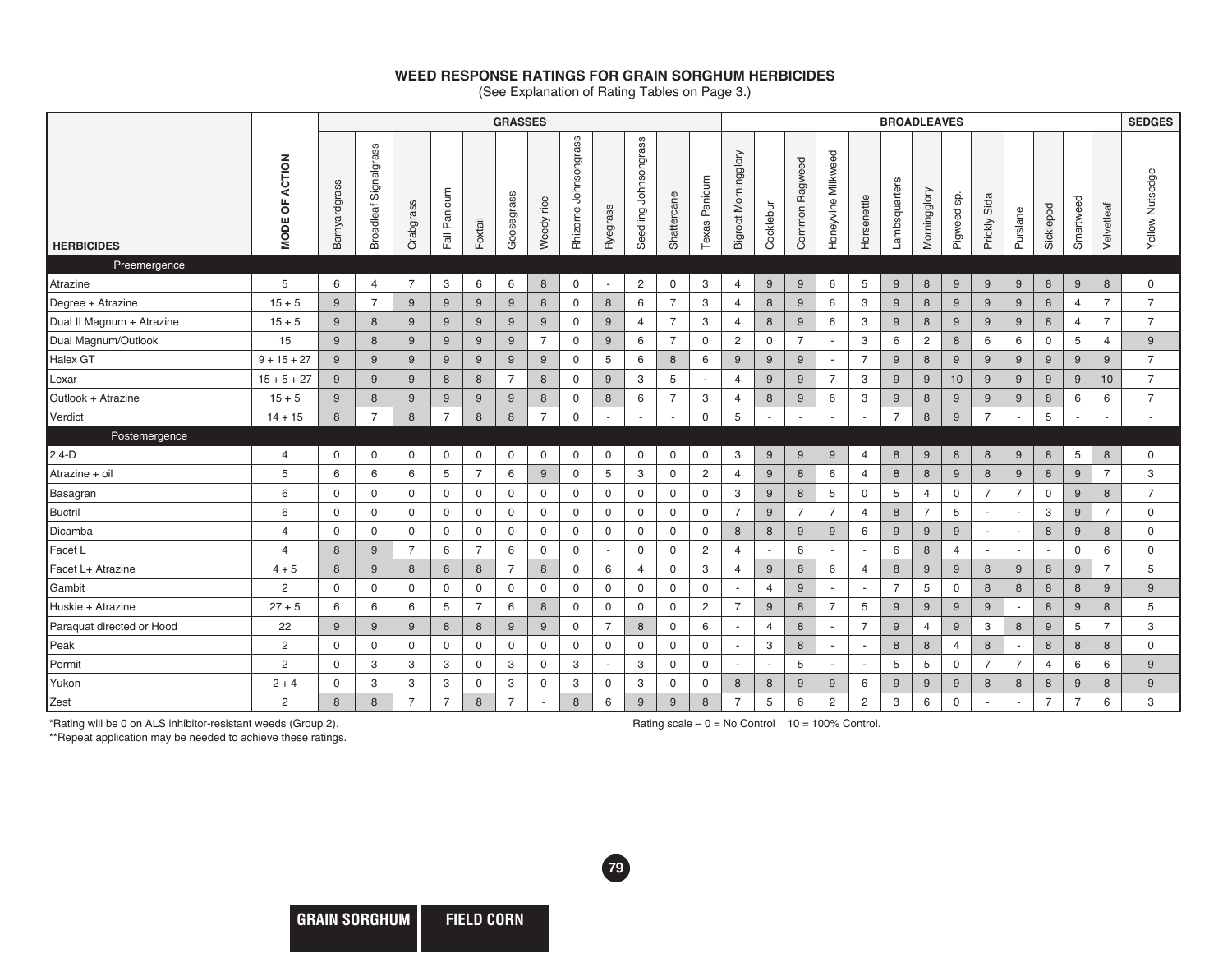## **WEED RESPONSE RATINGS FOR GRAIN SORGHUM HERBICIDES**

(See Explanation of Rating Tables on Page 3.)

|                           |                            | <b>GRASSES</b> |                       |                |                |                | <b>BROADLEAVES</b> |                  |                         |                          |                       |                  |                | <b>SEDGES</b>            |                  |                |                          |                          |                |                  |                  |                          |                          |                          |                |                |                 |
|---------------------------|----------------------------|----------------|-----------------------|----------------|----------------|----------------|--------------------|------------------|-------------------------|--------------------------|-----------------------|------------------|----------------|--------------------------|------------------|----------------|--------------------------|--------------------------|----------------|------------------|------------------|--------------------------|--------------------------|--------------------------|----------------|----------------|-----------------|
| <b>HERBICIDES</b>         | ACTION<br>p<br><b>MODE</b> | Barnyardgrass  | Broadleaf Signalgrass | Crabgrass      | Fall Panicum   | Foxtail        | Goosegrass         | rice<br>Weedy    | Johnsongrass<br>Rhizome | Ryegrass                 | Seedling Johnsongrass | Shattercane      | Texas Panicum  | Bigroot Morningglory     | Cocklebur        | Common Ragweed | Honeyvine Milkweed       | Horsenettle              | Lambsquarters  | Morningglory     | မ္တ<br>Pigweed s | Prickly Sida             | Purslane                 | Sicklepod                | Smartweed      | Velvetleaf     | Yellow Nutsedge |
| Preemergence              |                            |                |                       |                |                |                |                    |                  |                         |                          |                       |                  |                |                          |                  |                |                          |                          |                |                  |                  |                          |                          |                          |                |                |                 |
| Atrazine                  | 5                          | 6              | $\overline{4}$        | $\overline{7}$ | 3              | 6              | 6                  | 8                | $\mathbf 0$             | $\overline{\phantom{a}}$ | $\overline{c}$        | $\mathbf 0$      | 3              | $\overline{4}$           | 9                | 9              | 6                        | 5                        | 9              | 8                | 9                | 9                        | 9                        | 8                        | 9              | 8              | $\mathbf 0$     |
| Degree + Atrazine         | $15 + 5$                   | 9              | $\overline{7}$        | 9              | 9              | 9              | 9                  | $\boldsymbol{8}$ | $\mathbf 0$             | 8                        | 6                     | $\overline{7}$   | 3              | $\overline{4}$           | 8                | 9              | 6                        | 3                        | 9              | 8                | 9                | 9                        | 9                        | 8                        | $\overline{4}$ | $\overline{7}$ | $\overline{7}$  |
| Dual II Magnum + Atrazine | $15 + 5$                   | 9              | 8                     | 9              | 9              | 9              | 9                  | 9                | 0                       | 9                        | 4                     | $\overline{7}$   | 3              | $\overline{4}$           | 8                | 9              | 6                        | 3                        | 9              | 8                | 9                | 9                        | 9                        | 8                        | $\overline{4}$ | $\overline{7}$ | $\overline{7}$  |
| Dual Magnum/Outlook       | 15                         | 9              | 8                     | 9              | 9              | 9              | 9                  | $\overline{7}$   | 0                       | 9                        | 6                     | $\overline{7}$   | $\mathbf 0$    | $\overline{c}$           | 0                | $\overline{7}$ | $\overline{\phantom{a}}$ | 3                        | 6              | $\overline{c}$   | 8                | 6                        | 6                        | 0                        | 5              | 4              | 9               |
| Halex GT                  | $9 + 15 + 27$              | 9              | 9                     | 9              | 9              | 9              | 9                  | 9                | $\mathbf 0$             | 5                        | 6                     | $\boldsymbol{8}$ | 6              | 9                        | 9                | 9              | $\overline{a}$           | $\overline{7}$           | 9              | $\boldsymbol{8}$ | 9                | 9                        | 9                        | 9                        | 9              | 9              | $\overline{7}$  |
| Lexar                     | $15 + 5 + 27$              | 9              | 9                     | 9              | 8              | 8              | $\overline{7}$     | 8                | 0                       | 9                        | 3                     | 5                | $\sim$         | $\overline{4}$           | 9                | 9              | $\overline{7}$           | 3                        | 9              | 9                | 10               | 9                        | 9                        | 9                        | 9              | 10             | $\overline{7}$  |
| Outlook + Atrazine        | $15 + 5$                   | 9              | 8                     | 9              | 9              | 9              | 9                  | 8                | 0                       | 8                        | 6                     | $\overline{7}$   | 3              | 4                        | 8                | 9              | 6                        | 3                        | 9              | 8                | 9                | 9                        | 9                        | 8                        | 6              | 6              | $\overline{7}$  |
| Verdict                   | $14 + 15$                  | 8              | $\overline{7}$        | 8              | $\overline{7}$ | 8              | 8                  | $\overline{7}$   | $\mathbf 0$             |                          |                       | ٠                | $\mathbf 0$    | $5\phantom{.0}$          |                  |                |                          | $\blacksquare$           | $\overline{7}$ | 8                | 9                | $\overline{7}$           |                          | 5                        |                |                |                 |
| Postemergence             |                            |                |                       |                |                |                |                    |                  |                         |                          |                       |                  |                |                          |                  |                |                          |                          |                |                  |                  |                          |                          |                          |                |                |                 |
| $2,4-D$                   | $\overline{4}$             | 0              | 0                     | 0              | 0              | $\mathbf 0$    | $\mathbf 0$        | $\mathbf 0$      | $\mathbf 0$             | $\mathbf 0$              | 0                     | $\mathbf 0$      | $\mathbf 0$    | 3                        | $\boldsymbol{9}$ | 9              | 9                        | $\overline{4}$           | 8              | 9                | 8                | 8                        | 9                        | 8                        | 5              | 8              | $\mathbf 0$     |
| Atrazine + oil            | 5                          | 6              | 6                     | 6              | 5              | $\overline{7}$ | 6                  | 9                | $\mathbf 0$             | 5                        | 3                     | $\mathbf 0$      | $\overline{c}$ | $\overline{4}$           | 9                | 8              | 6                        | $\overline{4}$           | 8              | 8                | 9                | 8                        | 9                        | 8                        | 9              | $\overline{7}$ | 3               |
| Basagran                  | 6                          | $\mathbf 0$    | 0                     | $\mathsf{O}$   | $\mathbf 0$    | $\mathbf 0$    | $\mathbf 0$        | 0                | 0                       | $\mathbf 0$              | 0                     | $\mathbf 0$      | $\mathsf 0$    | 3                        | 9                | 8              | 5                        | 0                        | 5              | 4                | 0                | $\overline{7}$           | $\overline{7}$           | $\mathbf 0$              | 9              | 8              | $\overline{7}$  |
| <b>Buctril</b>            | 6                          | $\mathbf 0$    | 0                     | $\mathbf 0$    | $\mathbf 0$    | $\mathbf 0$    | $\mathbf 0$        | $\mathbf 0$      | $\mathbf 0$             | $\mathbf 0$              | $\mathbf 0$           | $\mathbf 0$      | $\mathbf 0$    | $\overline{7}$           | 9                | $\overline{7}$ | $\overline{7}$           | $\overline{4}$           | 8              | $\overline{7}$   | 5                |                          |                          | 3                        | 9              | $\overline{7}$ | $\mathbf 0$     |
| Dicamba                   | $\overline{4}$             | $\mathbf 0$    | $\mathbf 0$           | $\mathbf 0$    | $\mathbf 0$    | $\mathbf 0$    | $\mathbf 0$        | $\mathbf 0$      | $\mathbf 0$             | $\mathsf{O}$             | 0                     | $\mathbf 0$      | $\mathbf 0$    | 8                        | 8                | 9              | 9                        | 6                        | 9              | 9                | 9                | $\overline{\phantom{a}}$ | $\overline{\phantom{a}}$ | 8                        | 9              | 8              | $\mathbf 0$     |
| Facet L                   | $\overline{4}$             | 8              | 9                     | $\overline{7}$ | 6              | $\overline{7}$ | 6                  | $\mathbf 0$      | $\mathbf 0$             | $\overline{\phantom{a}}$ | 0                     | $\mathbf 0$      | 2              | $\overline{4}$           |                  | 6              |                          | $\blacksquare$           | 6              | 8                | 4                | $\blacksquare$           |                          | $\overline{\phantom{a}}$ | $\mathbf 0$    | 6              | $\mathbf 0$     |
| Facet L+ Atrazine         | $4 + 5$                    | 8              | 9                     | 8              | 6              | 8              | $\overline{7}$     | 8                | $\mathbf 0$             | 6                        | $\overline{4}$        | $\mathbf 0$      | 3              | $\overline{4}$           | 9                | 8              | 6                        | $\overline{4}$           | 8              | 9                | 9                | 8                        | 9                        | 8                        | 9              | $\overline{7}$ | 5               |
| Gambit                    | $\overline{2}$             | $\Omega$       | $\mathbf 0$           | $\mathbf 0$    | $\mathbf 0$    | $\mathbf 0$    | $\mathbf 0$        | $\mathbf 0$      | $\mathbf 0$             | $\mathsf{O}$             | $\mathbf 0$           | $\mathbf 0$      | $\mathbf 0$    | $\overline{\phantom{a}}$ | $\overline{4}$   | 9              | $\overline{\phantom{a}}$ | $\overline{\phantom{a}}$ | $\overline{7}$ | 5                | $\mathbf 0$      | 8                        | 8                        | 8                        | 8              | 9              | 9               |
| Huskie + Atrazine         | $27 + 5$                   | 6              | 6                     | 6              | 5              | $\overline{7}$ | 6                  | 8                | $\mathbf 0$             | $\mathbf 0$              | 0                     | $\mathbf 0$      | $\overline{c}$ | $\overline{7}$           | $\boldsymbol{9}$ | 8              | $\overline{7}$           | $\overline{5}$           | 9              | 9                | 9                | 9                        |                          | 8                        | 9              | $\,8\,$        | 5               |
| Paraquat directed or Hood | 22                         | 9              | 9                     | 9              | 8              | 8              | 9                  | 9                | 0                       | $\overline{7}$           | 8                     | $\mathbf 0$      | 6              | $\overline{\phantom{a}}$ | 4                | 8              |                          | $\overline{7}$           | 9              | 4                | 9                | 3                        | 8                        | 9                        | 5              | $\overline{7}$ | 3               |
| Peak                      | $\overline{2}$             | $\mathbf 0$    | 0                     | $\mathbf 0$    | $\mathbf 0$    | $\mathbf 0$    | $\mathbf 0$        | $\mathbf 0$      | $\mathbf 0$             | $\mathbf 0$              | 0                     | $\mathbf 0$      | $\mathbf 0$    | $\overline{\phantom{a}}$ | 3                | 8              | ٠                        | $\overline{\phantom{a}}$ | 8              | 8                | $\overline{4}$   | 8                        | $\overline{\phantom{a}}$ | 8                        | 8              | 8              | $\mathbf 0$     |
| Permit                    | $\overline{2}$             | $\mathbf 0$    | 3                     | 3              | 3              | $\mathbf 0$    | 3                  | $\mathbf 0$      | 3                       | $\overline{\phantom{a}}$ | 3                     | $\mathbf 0$      | $\mathsf 0$    | $\overline{\phantom{a}}$ |                  | 5              | $\overline{\phantom{a}}$ | $\sim$                   | 5              | 5                | $\mathsf 0$      | $\overline{7}$           | $\overline{7}$           | $\overline{4}$           | 6              | 6              | 9               |
| Yukon                     | $2 + 4$                    | 0              | 3                     | 3              | 3              | $\mathbf 0$    | 3                  | 0                | 3                       | $\mathbf 0$              | 3                     | $\mathbf 0$      | $\mathbf 0$    | 8                        | 8                | 9              | 9                        | 6                        | 9              | 9                | 9                | 8                        | 8                        | 8                        | 9              | 8              | 9               |
| Zest                      | $\overline{2}$             | 8              | 8                     | $\overline{7}$ | $\overline{7}$ | 8              | $\overline{7}$     |                  | 8                       | 6                        | 9                     | 9                | 8              | $\overline{7}$           | 5                | 6              | $\overline{c}$           | $\mathbf{2}$             | 3              | 6                | 0                |                          |                          | $\overline{7}$           | $\overline{7}$ | 6              | 3               |

**79**

\*Rating will be 0 on ALS inhibitor-resistant weeds (Group 2).

Rating scale  $-0 = No$  Control  $10 = 100\%$  Control.

\*\*Repeat application may be needed to achieve these ratings.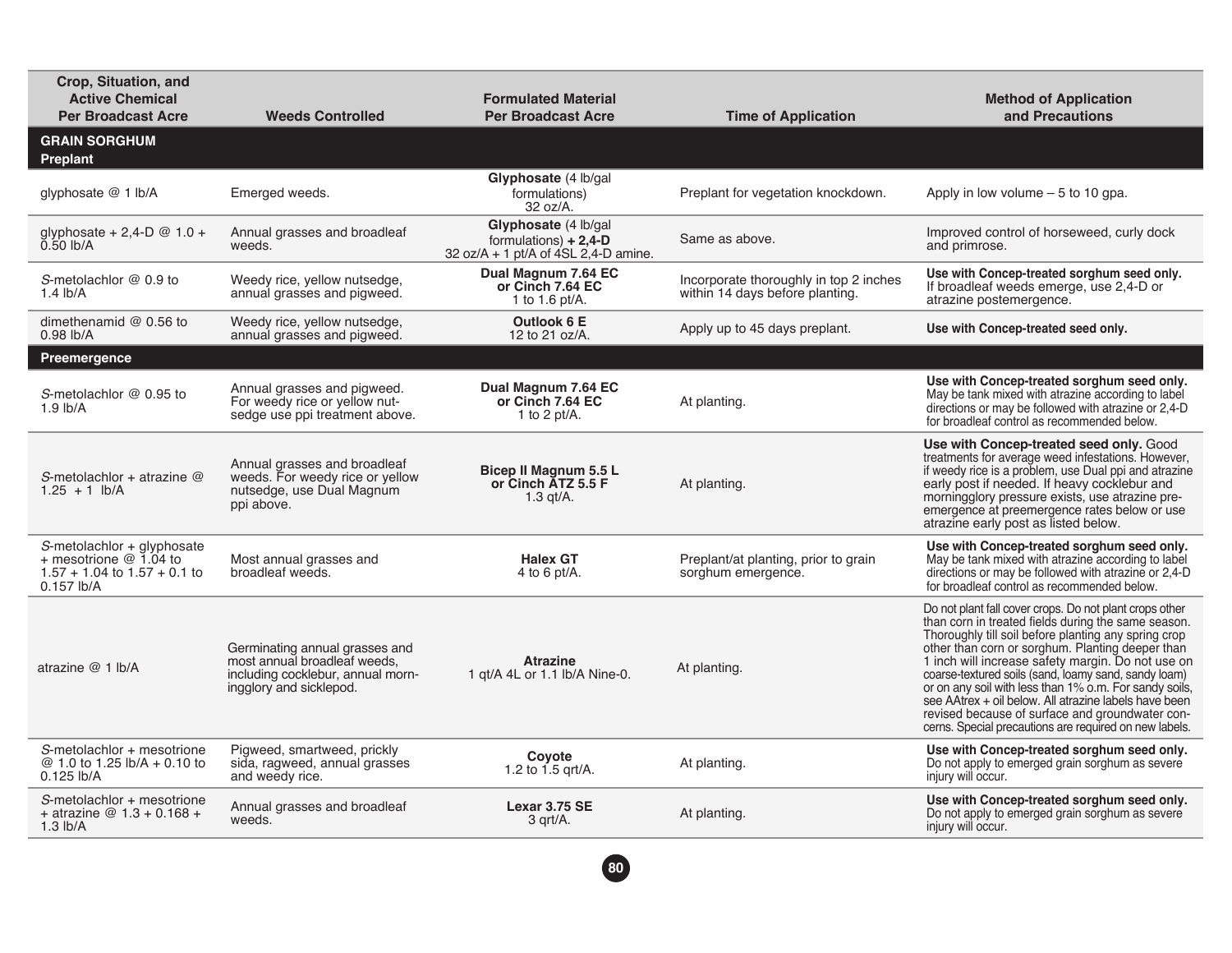| Crop, Situation, and<br><b>Active Chemical</b><br><b>Per Broadcast Acre</b>                                | <b>Weeds Controlled</b>                                                                                                        | <b>Formulated Material</b><br><b>Per Broadcast Acre</b>                                    | <b>Time of Application</b>                                                | <b>Method of Application</b><br>and Precautions                                                                                                                                                                                                                                                                                                                                                                                                                                                                                                                         |  |  |
|------------------------------------------------------------------------------------------------------------|--------------------------------------------------------------------------------------------------------------------------------|--------------------------------------------------------------------------------------------|---------------------------------------------------------------------------|-------------------------------------------------------------------------------------------------------------------------------------------------------------------------------------------------------------------------------------------------------------------------------------------------------------------------------------------------------------------------------------------------------------------------------------------------------------------------------------------------------------------------------------------------------------------------|--|--|
| <b>GRAIN SORGHUM</b><br>Preplant                                                                           |                                                                                                                                |                                                                                            |                                                                           |                                                                                                                                                                                                                                                                                                                                                                                                                                                                                                                                                                         |  |  |
| glyphosate @ 1 lb/A                                                                                        | Emerged weeds.                                                                                                                 | Glyphosate (4 lb/gal)<br>formulations)<br>32 oz/A.                                         | Preplant for vegetation knockdown.                                        | Apply in low volume $-5$ to 10 gpa.                                                                                                                                                                                                                                                                                                                                                                                                                                                                                                                                     |  |  |
| glyphosate + 2,4-D $@ 1.0 +$<br>$0.50$ lb/A                                                                | Annual grasses and broadleaf<br>weeds.                                                                                         | Glyphosate (4 lb/gal<br>formulations) $+ 2,4$ -D<br>32 oz/A + 1 pt/A of $4SL$ 2,4-D amine. | Same as above.                                                            | Improved control of horseweed, curly dock<br>and primrose.                                                                                                                                                                                                                                                                                                                                                                                                                                                                                                              |  |  |
| S-metolachlor @ 0.9 to<br>1.4 $lb/A$                                                                       | Weedy rice, yellow nutsedge,<br>annual grasses and pigweed.                                                                    | Dual Magnum 7.64 EC<br>or Cinch 7.64 EC<br>1 to 1.6 pt/A.                                  | Incorporate thoroughly in top 2 inches<br>within 14 days before planting. | Use with Concep-treated sorghum seed only.<br>If broadleaf weeds emerge, use 2,4-D or<br>atrazine postemergence.                                                                                                                                                                                                                                                                                                                                                                                                                                                        |  |  |
| dimethenamid $@$ 0.56 to<br>$0.98$ lb/A                                                                    | Weedy rice, yellow nutsedge,<br>annual grasses and pigweed.                                                                    | Outlook 6 E<br>12 to 21 oz/A.                                                              | Apply up to 45 days preplant.                                             | Use with Concep-treated seed only.                                                                                                                                                                                                                                                                                                                                                                                                                                                                                                                                      |  |  |
| Preemergence                                                                                               |                                                                                                                                |                                                                                            |                                                                           |                                                                                                                                                                                                                                                                                                                                                                                                                                                                                                                                                                         |  |  |
| S-metolachlor @ 0.95 to<br>$1.9$ lb/A                                                                      | Annual grasses and pigweed.<br>For weedy rice or yellow nut-<br>sedge use ppi treatment above.                                 | Dual Magnum 7.64 EC<br>or Cinch 7.64 EC<br>1 to 2 pt/A.                                    | At planting.                                                              | Use with Concep-treated sorghum seed only.<br>May be tank mixed with atrazine according to label<br>directions or may be followed with atrazine or 2,4-D<br>for broadleaf control as recommended below.                                                                                                                                                                                                                                                                                                                                                                 |  |  |
| S-metolachlor + atrazine $@$<br>$1.25 + 1$ lb/A                                                            | Annual grasses and broadleaf<br>weeds. For weedy rice or yellow<br>nutsedge, use Dual Magnum<br>ppi above.                     | Bicep II Magnum 5.5 L<br>or Cinch ATZ 5.5 F<br>$1.3$ gt/A.                                 | At planting.                                                              | Use with Concep-treated seed only. Good<br>treatments for average weed infestations. However,<br>if weedy rice is a problem, use Dual ppi and atrazine<br>early post if needed. If heavy cocklebur and<br>morningglory pressure exists, use atrazine pre-<br>emergence at preemergence rates below or use<br>atrazine early post as listed below.                                                                                                                                                                                                                       |  |  |
| S-metolachlor + glyphosate<br>+ mesotrione $@$ 1.04 to<br>$1.57 + 1.04$ to $1.57 + 0.1$ to<br>$0.157$ lb/A | Most annual grasses and<br>broadleaf weeds.                                                                                    | <b>Halex GT</b><br>4 to 6 pt/A.                                                            | Preplant/at planting, prior to grain<br>sorghum emergence.                | Use with Concep-treated sorghum seed only.<br>May be tank mixed with atrazine according to label<br>directions or may be followed with atrazine or 2,4-D<br>for broadleaf control as recommended below.                                                                                                                                                                                                                                                                                                                                                                 |  |  |
| atrazine $@1$ Ib/A                                                                                         | Germinating annual grasses and<br>most annual broadleaf weeds.<br>including cocklebur, annual morn-<br>ingglory and sicklepod. | <b>Atrazine</b><br>1 gt/A 4L or 1.1 lb/A Nine-0.                                           | At planting.                                                              | Do not plant fall cover crops. Do not plant crops other<br>than corn in treated fields during the same season.<br>Thoroughly till soil before planting any spring crop<br>other than corn or sorghum. Planting deeper than<br>1 inch will increase safety margin. Do not use on<br>coarse-textured soils (sand, loamy sand, sandy loam)<br>or on any soil with less than 1% o.m. For sandy soils,<br>see AAtrex + oil below. All atrazine labels have been<br>revised because of surface and groundwater con-<br>cerns. Special precautions are required on new labels. |  |  |
| S-metolachlor + mesotrione<br>@ 1.0 to 1.25 lb/A + 0.10 to<br>$0.125$ lb/A                                 | Pigweed, smartweed, prickly<br>sida, ragweed, annual grasses<br>and weedy rice.                                                | Coyote<br>1.2 to $1.5$ grt/A.                                                              | At planting.                                                              | Use with Concep-treated sorghum seed only.<br>Do not apply to emerged grain sorghum as severe<br>injury will occur.                                                                                                                                                                                                                                                                                                                                                                                                                                                     |  |  |
| S-metolachlor + mesotrione<br>+ atrazine $@1.3 + 0.168 +$<br>$1.3$ lb/A                                    | Annual grasses and broadleaf<br>weeds.                                                                                         | Lexar 3.75 SE<br>3 grt/A.                                                                  | At planting.                                                              | Use with Concep-treated sorghum seed only.<br>Do not apply to emerged grain sorghum as severe<br>injury will occur.                                                                                                                                                                                                                                                                                                                                                                                                                                                     |  |  |

**80**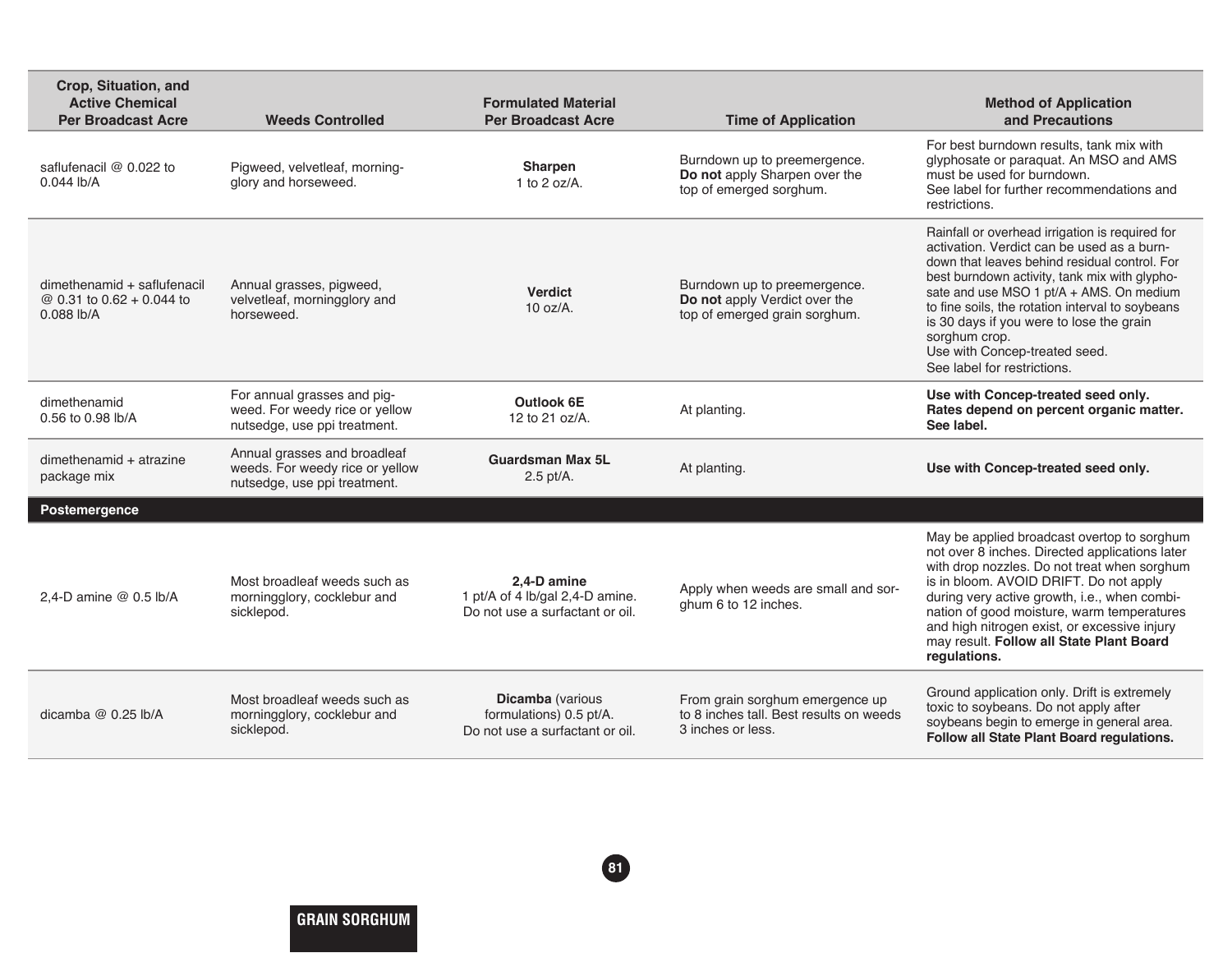| Crop, Situation, and<br><b>Active Chemical</b><br><b>Per Broadcast Acre</b> | <b>Weeds Controlled</b>                                                                         | <b>Formulated Material</b><br><b>Per Broadcast Acre</b>                               | <b>Time of Application</b>                                                                      | <b>Method of Application</b><br>and Precautions                                                                                                                                                                                                                                                                                                                                                                              |  |  |  |
|-----------------------------------------------------------------------------|-------------------------------------------------------------------------------------------------|---------------------------------------------------------------------------------------|-------------------------------------------------------------------------------------------------|------------------------------------------------------------------------------------------------------------------------------------------------------------------------------------------------------------------------------------------------------------------------------------------------------------------------------------------------------------------------------------------------------------------------------|--|--|--|
| saflufenacil @ 0.022 to<br>$0.044$ lb/A                                     | Pigweed, velvetleaf, morning-<br>glory and horseweed.                                           | Sharpen<br>1 to $2$ oz/A.                                                             | Burndown up to preemergence.<br>Do not apply Sharpen over the<br>top of emerged sorghum.        | For best burndown results, tank mix with<br>glyphosate or paraquat. An MSO and AMS<br>must be used for burndown.<br>See label for further recommendations and<br>restrictions.                                                                                                                                                                                                                                               |  |  |  |
| dimethenamid + saflufenacil<br>@ 0.31 to 0.62 + 0.044 to<br>0.088 lb/A      | Annual grasses, pigweed,<br>velvetleaf, morningglory and<br>horseweed.                          | <b>Verdict</b><br>$10 oz/A$ .                                                         | Burndown up to preemergence.<br>Do not apply Verdict over the<br>top of emerged grain sorghum.  | Rainfall or overhead irrigation is required for<br>activation. Verdict can be used as a burn-<br>down that leaves behind residual control. For<br>best burndown activity, tank mix with glypho-<br>sate and use MSO 1 pt/A + AMS. On medium<br>to fine soils, the rotation interval to soybeans<br>is 30 days if you were to lose the grain<br>sorghum crop.<br>Use with Concep-treated seed.<br>See label for restrictions. |  |  |  |
| dimethenamid<br>0.56 to 0.98 lb/A                                           | For annual grasses and pig-<br>weed. For weedy rice or yellow<br>nutsedge, use ppi treatment.   | Outlook 6E<br>12 to 21 oz/A.                                                          | At planting.                                                                                    | Use with Concep-treated seed only.<br>Rates depend on percent organic matter.<br>See label.                                                                                                                                                                                                                                                                                                                                  |  |  |  |
| dimethenamid + atrazine<br>package mix                                      | Annual grasses and broadleaf<br>weeds. For weedy rice or yellow<br>nutsedge, use ppi treatment. | <b>Guardsman Max 5L</b><br>$2.5$ pt/A.                                                | At planting.                                                                                    | Use with Concep-treated seed only.                                                                                                                                                                                                                                                                                                                                                                                           |  |  |  |
| Postemergence                                                               |                                                                                                 |                                                                                       |                                                                                                 |                                                                                                                                                                                                                                                                                                                                                                                                                              |  |  |  |
| 2.4-D amine @ 0.5 lb/A                                                      | Most broadleaf weeds such as<br>morningglory, cocklebur and<br>sicklepod.                       | 2.4-D amine<br>1 pt/A of 4 lb/gal 2,4-D amine.<br>Do not use a surfactant or oil.     | Apply when weeds are small and sor-<br>ghum 6 to 12 inches.                                     | May be applied broadcast overtop to sorghum<br>not over 8 inches. Directed applications later<br>with drop nozzles. Do not treat when sorghum<br>is in bloom. AVOID DRIFT. Do not apply<br>during very active growth, i.e., when combi-<br>nation of good moisture, warm temperatures<br>and high nitrogen exist, or excessive injury<br>may result. Follow all State Plant Board<br>regulations.                            |  |  |  |
| dicamba $@$ 0.25 lb/A                                                       | Most broadleaf weeds such as<br>morningglory, cocklebur and<br>sicklepod.                       | <b>Dicamba</b> (various<br>formulations) 0.5 pt/A.<br>Do not use a surfactant or oil. | From grain sorghum emergence up<br>to 8 inches tall. Best results on weeds<br>3 inches or less. | Ground application only. Drift is extremely<br>toxic to soybeans. Do not apply after<br>soybeans begin to emerge in general area.<br>Follow all State Plant Board regulations.                                                                                                                                                                                                                                               |  |  |  |

**81**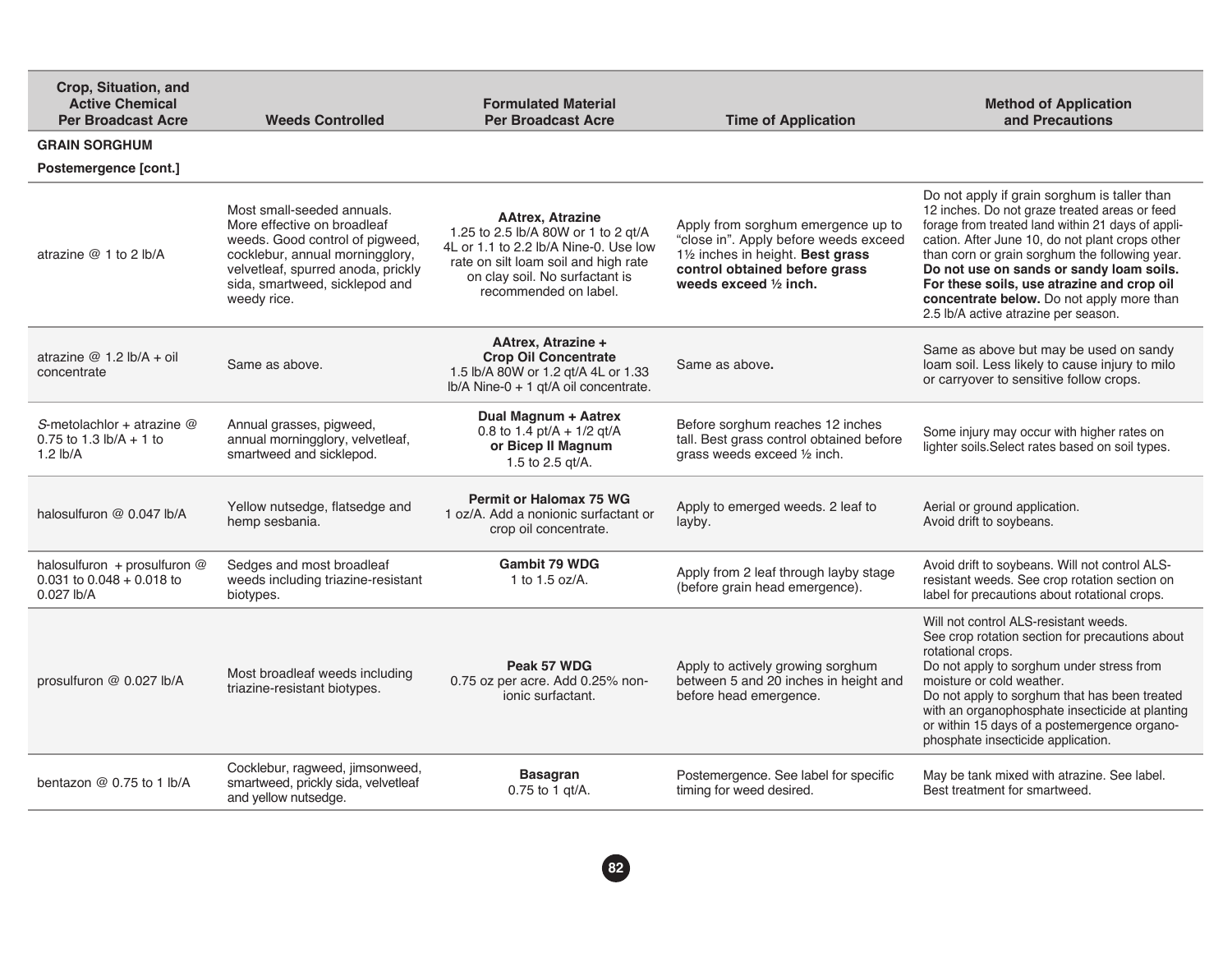| Crop, Situation, and<br><b>Active Chemical</b><br><b>Per Broadcast Acre</b>        | <b>Weeds Controlled</b>                                                                                                                                                                                                | <b>Formulated Material</b><br><b>Per Broadcast Acre</b>                                                                                                                                                    | <b>Time of Application</b>                                                                                                                                                            | <b>Method of Application</b><br>and Precautions                                                                                                                                                                                                                                                                                                                                                                                        |  |  |
|------------------------------------------------------------------------------------|------------------------------------------------------------------------------------------------------------------------------------------------------------------------------------------------------------------------|------------------------------------------------------------------------------------------------------------------------------------------------------------------------------------------------------------|---------------------------------------------------------------------------------------------------------------------------------------------------------------------------------------|----------------------------------------------------------------------------------------------------------------------------------------------------------------------------------------------------------------------------------------------------------------------------------------------------------------------------------------------------------------------------------------------------------------------------------------|--|--|
| <b>GRAIN SORGHUM</b>                                                               |                                                                                                                                                                                                                        |                                                                                                                                                                                                            |                                                                                                                                                                                       |                                                                                                                                                                                                                                                                                                                                                                                                                                        |  |  |
| Postemergence [cont.]                                                              |                                                                                                                                                                                                                        |                                                                                                                                                                                                            |                                                                                                                                                                                       |                                                                                                                                                                                                                                                                                                                                                                                                                                        |  |  |
| atrazine $@1$ to 2 lb/A                                                            | Most small-seeded annuals.<br>More effective on broadleaf<br>weeds. Good control of pigweed,<br>cocklebur, annual morningglory,<br>velvetleaf, spurred anoda, prickly<br>sida, smartweed, sicklepod and<br>weedy rice. | <b>AAtrex, Atrazine</b><br>1.25 to 2.5 lb/A 80W or 1 to 2 gt/A<br>4L or 1.1 to 2.2 lb/A Nine-0. Use low<br>rate on silt loam soil and high rate<br>on clay soil. No surfactant is<br>recommended on label. | Apply from sorghum emergence up to<br>"close in". Apply before weeds exceed<br>11/2 inches in height. Best grass<br>control obtained before grass<br>weeds exceed $\frac{1}{2}$ inch. | Do not apply if grain sorghum is taller than<br>12 inches. Do not graze treated areas or feed<br>forage from treated land within 21 days of appli-<br>cation. After June 10, do not plant crops other<br>than corn or grain sorghum the following year.<br>Do not use on sands or sandy loam soils.<br>For these soils, use atrazine and crop oil<br>concentrate below. Do not apply more than<br>2.5 lb/A active atrazine per season. |  |  |
| atrazine $@1.2$ lb/A + oil<br>concentrate                                          | Same as above.                                                                                                                                                                                                         | <b>AAtrex, Atrazine +</b><br><b>Crop Oil Concentrate</b><br>1.5 lb/A 80W or 1.2 qt/A 4L or 1.33<br>lb/A Nine-0 + 1 qt/A oil concentrate.                                                                   | Same as above.                                                                                                                                                                        | Same as above but may be used on sandy<br>loam soil. Less likely to cause injury to milo<br>or carryover to sensitive follow crops.                                                                                                                                                                                                                                                                                                    |  |  |
| S-metolachlor + atrazine $@$<br>0.75 to 1.3 $\frac{1}{2}$ h/A + 1 to<br>1.2 $lb/A$ | Annual grasses, pigweed,<br>annual morningglory, velvetleaf,<br>smartweed and sicklepod.                                                                                                                               | Dual Magnum + Aatrex<br>0.8 to 1.4 pt/A + $1/2$ gt/A<br>or Bicep II Magnum<br>1.5 to 2.5 gt/A.                                                                                                             | Before sorghum reaches 12 inches<br>tall. Best grass control obtained before<br>grass weeds exceed 1/2 inch.                                                                          | Some injury may occur with higher rates on<br>lighter soils. Select rates based on soil types.                                                                                                                                                                                                                                                                                                                                         |  |  |
| halosulfuron @ 0.047 lb/A                                                          | Yellow nutsedge, flatsedge and<br>hemp sesbania.                                                                                                                                                                       | <b>Permit or Halomax 75 WG</b><br>1 oz/A. Add a nonionic surfactant or<br>crop oil concentrate.                                                                                                            | Apply to emerged weeds. 2 leaf to<br>layby.                                                                                                                                           | Aerial or ground application.<br>Avoid drift to soybeans.                                                                                                                                                                                                                                                                                                                                                                              |  |  |
| halosulfuron + prosulfuron @<br>$0.031$ to $0.048 + 0.018$ to<br>$0.027$ lb/A      | Sedges and most broadleaf<br>weeds including triazine-resistant<br>biotypes.                                                                                                                                           | Gambit 79 WDG<br>1 to 1.5 oz/ $A$ .                                                                                                                                                                        | Apply from 2 leaf through layby stage<br>(before grain head emergence).                                                                                                               | Avoid drift to soybeans. Will not control ALS-<br>resistant weeds. See crop rotation section on<br>label for precautions about rotational crops.                                                                                                                                                                                                                                                                                       |  |  |
| prosulfuron @ 0.027 lb/A                                                           | Most broadleaf weeds including<br>triazine-resistant biotypes.                                                                                                                                                         | Peak 57 WDG<br>0.75 oz per acre. Add 0.25% non-<br>ionic surfactant.                                                                                                                                       | Apply to actively growing sorghum<br>between 5 and 20 inches in height and<br>before head emergence.                                                                                  | Will not control ALS-resistant weeds.<br>See crop rotation section for precautions about<br>rotational crops.<br>Do not apply to sorghum under stress from<br>moisture or cold weather.<br>Do not apply to sorghum that has been treated<br>with an organophosphate insecticide at planting<br>or within 15 days of a postemergence organo-<br>phosphate insecticide application.                                                      |  |  |
| bentazon $@0.75$ to 1 lb/A                                                         | Cocklebur, ragweed, jimsonweed,<br>smartweed, prickly sida, velvetleaf<br>and yellow nutsedge.                                                                                                                         | <b>Basagran</b><br>$0.75$ to 1 gt/A.                                                                                                                                                                       | Postemergence. See label for specific<br>timing for weed desired.                                                                                                                     | May be tank mixed with atrazine. See label.<br>Best treatment for smartweed.                                                                                                                                                                                                                                                                                                                                                           |  |  |